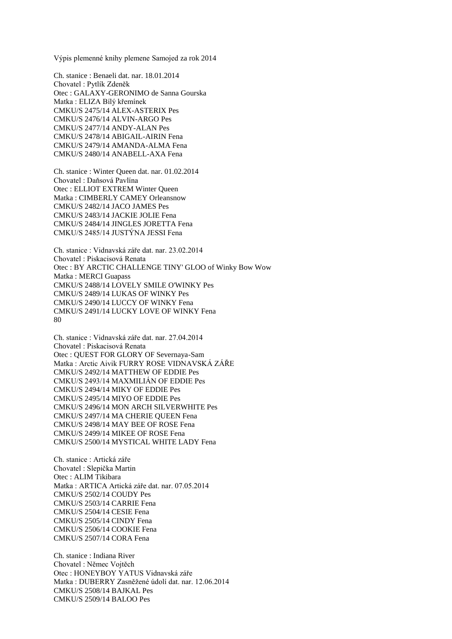Výpis plemenné knihy plemene Samojed za rok 2014

Ch. stanice : Benaeli dat. nar. 18.01.2014 Chovatel : Pytlík Zdeněk Otec : GALAXY-GERONIMO de Sanna Gourska Matka : ELIZA Bílý křemínek CMKU/S 2475/14 ALEX-ASTERIX Pes CMKU/S 2476/14 ALVIN-ARGO Pes CMKU/S 2477/14 ANDY-ALAN Pes CMKU/S 2478/14 ABIGAIL-AIRIN Fena CMKU/S 2479/14 AMANDA-ALMA Fena CMKU/S 2480/14 ANABELL-AXA Fena

Ch. stanice : Winter Queen dat. nar. 01.02.2014 Chovatel : Daňsová Pavlína Otec : ELLIOT EXTREM Winter Queen Matka : CIMBERLY CAMEY Orleansnow CMKU/S 2482/14 JACO JAMES Pes CMKU/S 2483/14 JACKIE JOLIE Fena CMKU/S 2484/14 JINGLES JORETTA Fena CMKU/S 2485/14 JUSTÝNA JESSI Fena

Ch. stanice : Vidnavská záře dat. nar. 23.02.2014 Chovatel : Piskacisová Renata Otec : BY ARCTIC CHALLENGE TINY' GLOO of Winky Bow Wow Matka : MERCI Guapass CMKU/S 2488/14 LOVELY SMILE O'WINKY Pes CMKU/S 2489/14 LUKAS OF WINKY Pes CMKU/S 2490/14 LUCCY OF WINKY Fena CMKU/S 2491/14 LUCKY LOVE OF WINKY Fena 80

Ch. stanice : Vidnavská záře dat. nar. 27.04.2014 Chovatel : Piskacisová Renata Otec : QUEST FOR GLORY OF Severnaya-Sam Matka : Arctic Aivik FURRY ROSE VIDNAVSKÁ ZÁŘE CMKU/S 2492/14 MATTHEW OF EDDIE Pes CMKU/S 2493/14 MAXMILIÁN OF EDDIE Pes CMKU/S 2494/14 MIKY OF EDDIE Pes CMKU/S 2495/14 MIYO OF EDDIE Pes CMKU/S 2496/14 MON ARCH SILVERWHITE Pes CMKU/S 2497/14 MA CHERIE QUEEN Fena CMKU/S 2498/14 MAY BEE OF ROSE Fena CMKU/S 2499/14 MIKEE OF ROSE Fena CMKU/S 2500/14 MYSTICAL WHITE LADY Fena

Ch. stanice : Artická záře Chovatel : Slepička Martin Otec : ALIM Tikibara Matka : ARTICA Artická záře dat. nar. 07.05.2014 CMKU/S 2502/14 COUDY Pes CMKU/S 2503/14 CARRIE Fena CMKU/S 2504/14 CESIE Fena CMKU/S 2505/14 CINDY Fena CMKU/S 2506/14 COOKIE Fena CMKU/S 2507/14 CORA Fena

Ch. stanice : Indiana River Chovatel : Němec Vojtěch Otec : HONEYBOY YATUS Vidnavská záře Matka : DUBERRY Zasněžené údolí dat. nar. 12.06.2014 CMKU/S 2508/14 BAJKAL Pes CMKU/S 2509/14 BALOO Pes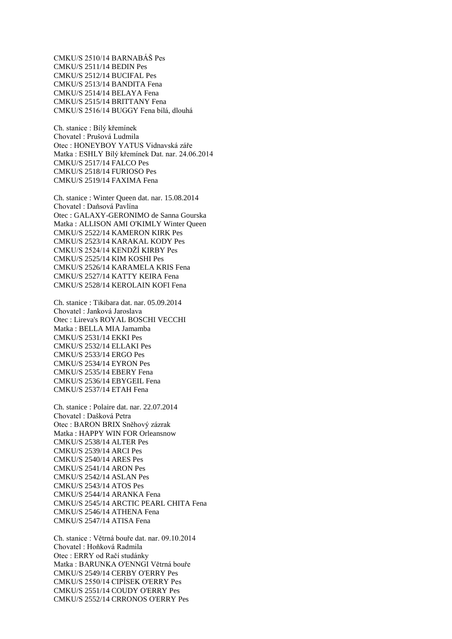CMKU/S 2510/14 BARNABÁŠ Pes CMKU/S 2511/14 BEDIN Pes CMKU/S 2512/14 BUCIFAL Pes CMKU/S 2513/14 BANDITA Fena CMKU/S 2514/14 BELAYA Fena CMKU/S 2515/14 BRITTANY Fena CMKU/S 2516/14 BUGGY Fena bílá, dlouhá

Ch. stanice : Bílý křemínek Chovatel : Prušová Ludmila Otec : HONEYBOY YATUS Vidnavská záře Matka : ESHLY Bílý křemínek Dat. nar. 24.06.2014 CMKU/S 2517/14 FALCO Pes CMKU/S 2518/14 FURIOSO Pes CMKU/S 2519/14 FAXIMA Fena

Ch. stanice : Winter Queen dat. nar. 15.08.2014 Chovatel : Daňsová Pavlína Otec : GALAXY-GERONIMO de Sanna Gourska Matka : ALLISON AMI O'KIMLY Winter Queen CMKU/S 2522/14 KAMERON KIRK Pes CMKU/S 2523/14 KARAKAL KODY Pes CMKU/S 2524/14 KENDŽÍ KIRBY Pes CMKU/S 2525/14 KIM KOSHI Pes CMKU/S 2526/14 KARAMELA KRIS Fena CMKU/S 2527/14 KATTY KEIRA Fena CMKU/S 2528/14 KEROLAIN KOFI Fena

Ch. stanice : Tikibara dat. nar. 05.09.2014 Chovatel : Janková Jaroslava Otec : Lireva's ROYAL BOSCHI VECCHI Matka : BELLA MIA Jamamba CMKU/S 2531/14 EKKI Pes CMKU/S 2532/14 ELLAKI Pes CMKU/S 2533/14 ERGO Pes CMKU/S 2534/14 EYRON Pes CMKU/S 2535/14 EBERY Fena CMKU/S 2536/14 EBYGEIL Fena CMKU/S 2537/14 ETAH Fena

Ch. stanice : Polaire dat. nar. 22.07.2014 Chovatel : Dašková Petra Otec : BARON BRIX Sněhový zázrak Matka : HAPPY WIN FOR Orleansnow CMKU/S 2538/14 ALTER Pes CMKU/S 2539/14 ARCI Pes CMKU/S 2540/14 ARES Pes CMKU/S 2541/14 ARON Pes CMKU/S 2542/14 ASLAN Pes CMKU/S 2543/14 ATOS Pes CMKU/S 2544/14 ARANKA Fena CMKU/S 2545/14 ARCTIC PEARL CHITA Fena CMKU/S 2546/14 ATHENA Fena CMKU/S 2547/14 ATISA Fena

Ch. stanice : Větrná bouře dat. nar. 09.10.2014 Chovatel : Hoňková Radmila Otec : ERRY od Račí studánky Matka : BARUNKA O'ENNGI Větrná bouře CMKU/S 2549/14 CERBY O'ERRY Pes CMKU/S 2550/14 CIPÍSEK O'ERRY Pes CMKU/S 2551/14 COUDY O'ERRY Pes CMKU/S 2552/14 CRRONOS O'ERRY Pes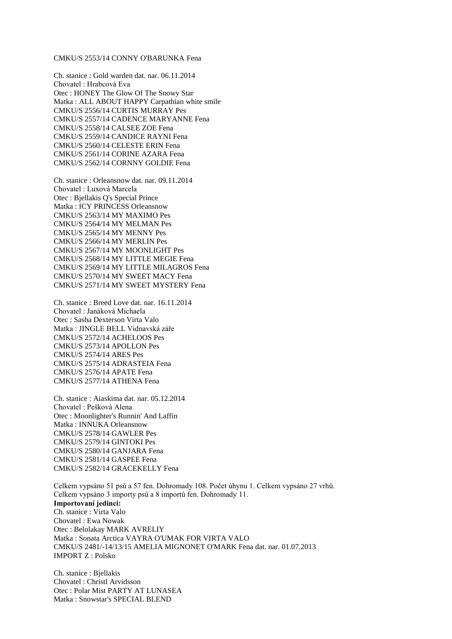## CMKU/S 2553/14 CONNY O'BARUNKA Fena

Ch. stanice : Gold warden dat. nar. 06.11.2014 Chovatel : Hrabcová Eva Otec : HONEY The Glow Of The Snowy Star Matka : ALL ABOUT HAPPY Carpathian white smile CMKU/S 2556/14 CURTIS MURRAY Pes CMKU/S 2557/14 CADENCE MARYANNE Fena CMKU/S 2558/14 CALSEE ZOE Fena CMKU/S 2559/14 CANDICE RAYNI Fena CMKU/S 2560/14 CELESTE ERIN Fena CMKU/S 2561/14 CORINE AZARA Fena CMKU/S 2562/14 CORNNY GOLDIE Fena

Ch. stanice : Orleansnow dat. nar. 09.11.2014 Chovatel : Luxová Marcela Otec : Bjellakis Q's Special Prince Matka : ICY PRINCESS Orleansnow CMKU/S 2563/14 MY MAXIMO Pes CMKU/S 2564/14 MY MELMAN Pes CMKU/S 2565/14 MY MENNY Pes CMKU/S 2566/14 MY MERLIN Pes CMKU/S 2567/14 MY MOONLIGHT Pes CMKU/S 2568/14 MY LITTLE MEGIE Fena CMKU/S 2569/14 MY LITTLE MILAGROS Fena CMKU/S 2570/14 MY SWEET MACY Fena CMKU/S 2571/14 MY SWEET MYSTERY Fena

Ch. stanice : Breed Love dat. nar. 16.11.2014 Chovatel : Janáková Michaela Otec : Sasha Dexterson Virta Valo Matka : JINGLE BELL Vidnavská záře CMKU/S 2572/14 ACHELOOS Pes CMKU/S 2573/14 APOLLON Pes CMKU/S 2574/14 ARES Pes CMKU/S 2575/14 ADRASTEIA Fena CMKU/S 2576/14 APATE Fena CMKU/S 2577/14 ATHENA Fena

Ch. stanice : Aiaskima dat. nar. 05.12.2014 Chovatel : Pešková Alena Otec : Moonlighter's Runnin' And Laffin Matka : INNUKA Orleansnow CMKU/S 2578/14 GAWLER Pes CMKU/S 2579/14 GINTOKI Pes CMKU/S 2580/14 GANJARA Fena CMKU/S 2581/14 GASPEE Fena CMKU/S 2582/14 GRACEKELLY Fena

Celkem vypsáno 51 psů a 57 fen. Dohromady 108. Počet úhynu 1. Celkem vypsáno 27 vrhů. Celkem vypsáno 3 importy psů a 8 importů fen. Dohromady 11. **Importovaní jedinci:** Ch. stanice : Virta Valo Chovatel : Ewa Nowak Otec : Belolakay MARK AVRELIY Matka : Sonata Arctica VAYRA O'UMAK FOR VIRTA VALO CMKU/S 2481/-14/13/15 AMELIA MIGNONET O'MARK Fena dat. nar. 01.07.2013 IMPORT Z : Polsko

Ch. stanice : Bjellakis Chovatel : Christl Arvidsson Otec : Polar Mist PARTY AT LUNASEA Matka : Snowstar's SPECIAL BLEND